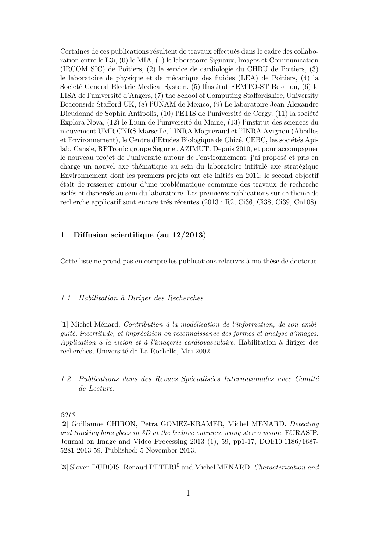Certaines de ces publications résultent de travaux effectués dans le cadre des collaboration entre le L3i, (0) le MIA, (1) le laboratoire Signaux, Images et Communication (IRCOM SIC) de Poitiers, (2) le service de cardiologie du CHRU de Poitiers, (3) le laboratoire de physique et de m´ecanique des fluides (LEA) de Poitiers, (4) la Société General Electric Medical System, (5) lInstitut FEMTO-ST Besanon, (6) le LISA de l'université d'Angers, (7) the School of Computing Staffordshire, University Beaconside Stafford UK, (8) l'UNAM de Mexico, (9) Le laboratoire Jean-Alexandre Dieudonné de Sophia Antipolis,  $(10)$  l'ETIS de l'université de Cergy,  $(11)$  la société Explora Nova, (12) le Lium de l'universit´e du Maine, (13) l'institut des sciences du mouvement UMR CNRS Marseille, l'INRA Magneraud et l'INRA Avignon (Abeilles et Environnement), le Centre d'Etudes Biologique de Chizé, CEBC, les sociétés Apilab, Cansie, RFTronic groupe Segur et AZIMUT. Depuis 2010, et pour accompagner le nouveau projet de l'université autour de l'environnement, j'ai proposé et pris en charge un nouvel axe thématique au sein du laboratoire intitulé axe stratégique Environnement dont les premiers projets ont été initiés en 2011; le second objectif ´etait de resserrer autour d'une probl´ematique commune des travaux de recherche isolés et dispersés au sein du laboratoire. Les premieres publications sur ce theme de recherche applicatif sont encore trés récentes  $(2013 : R2, Ci36, Ci38, Ci39, Ch108)$ .

# 1 Diffusion scientifique (au 12/2013)

Cette liste ne prend pas en compte les publications relatives à ma thèse de doctorat.

### 1.1 Habilitation `a Diriger des Recherches

 $[1]$  Michel Ménard. Contribution à la modélisation de l'information, de son ambiquité, incertitude, et imprécision en reconnaissance des formes et analyse d'images. Application à la vision et à l'imagerie cardiovasculaire. Habilitation à diriger des recherches, Université de La Rochelle, Mai 2002.

 $1.2$  Publications dans des Revues Spécialisées Internationales avec Comité de Lecture.

2013

[2] Guillaume CHIRON, Petra GOMEZ-KRAMER, Michel MENARD. Detecting and tracking honeybees in 3D at the beehive entrance using stereo vision. EURASIP. Journal on Image and Video Processing 2013 (1), 59, pp1-17, DOI:10.1186/1687- 5281-2013-59. Published: 5 November 2013.

[3] Sloven DUBOIS, Renaud PETERI<sup>0</sup> and Michel MENARD. Characterization and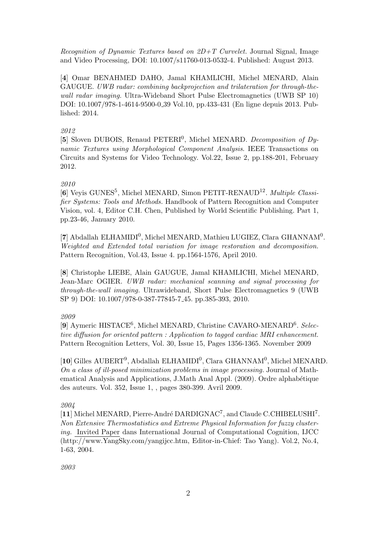Recognition of Dynamic Textures based on  $2D+T$  Curvelet. Journal Signal, Image and Video Processing, DOI: 10.1007/s11760-013-0532-4. Published: August 2013.

[4] Omar BENAHMED DAHO, Jamal KHAMLICHI, Michel MENARD, Alain GAUGUE. UWB radar: combining backprojection and trilateration for through-thewall radar imaging. Ultra-Wideband Short Pulse Electromagnetics (UWB SP 10) DOI: 10.1007/978-1-4614-9500-0 39 Vol.10, pp.433-431 (En ligne depuis 2013. Published: 2014.

## 2012

[5] Sloven DUBOIS, Renaud PETERI<sup>0</sup>, Michel MENARD. *Decomposition of Dy*namic Textures using Morphological Component Analysis. IEEE Transactions on Circuits and Systems for Video Technology. Vol.22, Issue 2, pp.188-201, February 2012.

## 2010

[6] Veyis GUNES<sup>5</sup>, Michel MENARD, Simon PETIT-RENAUD<sup>12</sup>. Multiple Classifier Systems: Tools and Methods. Handbook of Pattern Recognition and Computer Vision, vol. 4, Editor C.H. Chen, Published by World Scientific Publishing. Part 1, pp.23-46, January 2010.

[7] Abdallah ELHAMIDI<sup>0</sup>, Michel MENARD, Mathieu LUGIEZ, Clara GHANNAM<sup>0</sup>. Weighted and Extended total variation for image restoration and decomposition. Pattern Recognition, Vol.43, Issue 4. pp.1564-1576, April 2010.

[8] Christophe LIEBE, Alain GAUGUE, Jamal KHAMLICHI, Michel MENARD, Jean-Marc OGIER. UWB radar: mechanical scanning and signal processing for through-the-wall imaging. Ultrawideband, Short Pulse Electromagnetics 9 (UWB SP 9) DOI: 10.1007/978-0-387-77845-7 45. pp.385-393, 2010.

### 2009

[9] Aymeric HISTACE<sup>6</sup>, Michel MENARD, Christine CAVARO-MENARD<sup>6</sup>. Selective diffusion for oriented pattern : Application to tagged cardiac MRI enhancement. Pattern Recognition Letters, Vol. 30, Issue 15, Pages 1356-1365. November 2009

[10] Gilles AUBERT<sup>9</sup>, Abdallah ELHAMIDI<sup>0</sup>, Clara GHANNAM<sup>0</sup>, Michel MENARD. On a class of ill-posed minimization problems in image processing. Journal of Mathematical Analysis and Applications, J.Math Anal Appl. (2009). Ordre alphabétique des auteurs. Vol. 352, Issue 1, , pages 380-399. Avril 2009.

### 2004

[11] Michel MENARD, Pierre-André DARDIGNAC<sup>7</sup>, and Claude C.CHIBELUSHI<sup>7</sup>. Non Extensive Thermostatistics and Extreme Physical Information for fuzzy clustering. Invited Paper dans International Journal of Computational Cognition, IJCC (http://www.YangSky.com/yangijcc.htm, Editor-in-Chief: Tao Yang). Vol.2, No.4, 1-63, 2004.

2003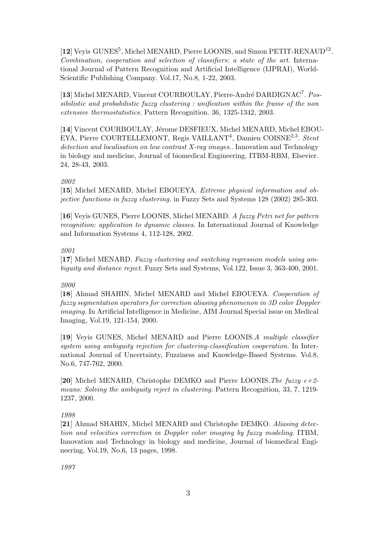[12] Veyis GUNES<sup>5</sup>, Michel MENARD, Pierre LOONIS, and Simon PETIT-RENAUD<sup>12</sup>. Combination, cooperation and selection of classifiers: a state of the art. International Journal of Pattern Recognition and Artificial Intelligence (IJPRAI), World-Scientific Publishing Company. Vol.17, No.8, 1-22, 2003.

[13] Michel MENARD, Vincent COURBOULAY, Pierre-André DARDIGNAC<sup>7</sup>. Possibilistic and probabilistic fuzzy clustering : unification within the frame of the non extensive thermostatistics. Pattern Recognition. 36, 1325-1342, 2003.

[14] Vincent COURBOULAY, Jérome DESFIEUX, Michel MENARD, Michel EBOU-EYA, Pierre COURTELLEMONT, Regis VAILLANT<sup>4</sup>, Damien COISNE<sup>2,3</sup>. Stent detection and localisation on low contrast X-ray images.. Innovation and Technology in biology and medicine, Journal of biomedical Engineering, ITBM-RBM, Elsevier. 24, 28-43, 2003.

## 2002

[15] Michel MENARD, Michel EBOUEYA. Extreme physical information and objective functions in fuzzy clustering. in Fuzzy Sets and Systems 128 (2002) 285-303.

[16] Veyis GUNES, Pierre LOONIS, Michel MENARD. A fuzzy Petri net for pattern recognition: application to dynamic classes. In International Journal of Knowledge and Information Systems 4, 112-128, 2002.

## 2001

[17] Michel MENARD. Fuzzy clustering and switching regression models using ambiguity and distance reject. Fuzzy Sets and Systems, Vol.122, Issue 3, 363-400, 2001.

# 2000

[18] Ahmad SHAHIN, Michel MENARD and Michel EBOUEYA. Cooperation of fuzzy segmentation operators for correction aliasing phenomenon in 3D color Doppler imaging. In Artificial Intelligence in Medicine, AIM Journal Special issue on Medical Imaging, Vol.19, 121-154, 2000.

[19] Veyis GUNES, Michel MENARD and Pierre LOONIS.A multiple classifier system using ambiguity rejection for clustering-classification cooperation. In International Journal of Uncertainty, Fuzziness and Knowledge-Based Systems. Vol.8, No.6, 747-762, 2000.

[20] Michel MENARD, Christophe DEMKO and Pierre LOONIS. The fuzzy  $c+2$ means: Solving the ambiguity reject in clustering. Pattern Recognition, 33, 7, 1219- 1237, 2000.

# 1998

[21] Ahmad SHAHIN, Michel MENARD and Christophe DEMKO. Aliasing detection and velocities correction in Doppler color imaging by fuzzy modeling. ITBM, Innovation and Technology in biology and medicine, Journal of biomedical Engineering, Vol.19, No.6, 13 pages, 1998.

1997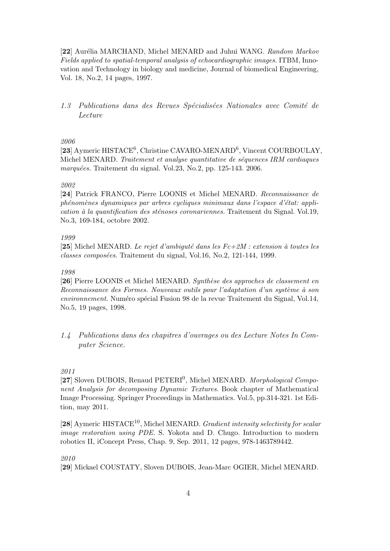[22] Aurélia MARCHAND, Michel MENARD and Juhui WANG. Random Markov Fields applied to spatial-temporal analysis of echocardiographic images. ITBM, Innovation and Technology in biology and medicine, Journal of biomedical Engineering, Vol. 18, No.2, 14 pages, 1997.

1.3 Publications dans des Revues Spécialisées Nationales avec Comité de Lecture

## 2006

[23] Aymeric HISTACE<sup>6</sup>, Christine CAVARO-MENARD<sup>6</sup>, Vincent COURBOULAY, Michel MENARD. Traitement et analyse quantitative de séquences IRM cardiaques marquées. Traitement du signal. Vol.23, No.2, pp. 125-143. 2006.

## 2002

[24] Patrick FRANCO, Pierre LOONIS et Michel MENARD. Reconnaissance de  $phénomènes dynamiques par arbres cycliques minimaux dans l'espace d'état: appli$ cation à la quantification des sténoses coronariennes. Traitement du Signal. Vol.19, No.3, 169-184, octobre 2002.

## 1999

[25] Michel MENARD. Le rejet d'ambiguté dans les  $Fc+2M$ : extension à toutes les  $classes\ composées. Traitement du signal, Vol.16, No.2, 121-144, 1999.$ 

## 1998

[26] Pierre LOONIS et Michel MENARD. Synthèse des approches de classement en Reconnaissance des Formes. Nouveaux outils pour l'adaptation d'un système à son environnement. Numéro spécial Fusion 98 de la revue Traitement du Signal, Vol.14, No.5, 19 pages, 1998.

1.4 Publications dans des chapitres d'ouvrages ou des Lecture Notes In Computer Science.

## 2011

[27] Sloven DUBOIS, Renaud PETERI<sup>0</sup>, Michel MENARD. Morphological Component Analysis for decomposing Dynamic Textures. Book chapter of Mathematical Image Processing. Springer Proceedings in Mathematics. Vol.5, pp.314-321. 1st Edition, may 2011.

 $[28]$  Aymeric HISTACE<sup>10</sup>, Michel MENARD. Gradient intensity selectivity for scalar image restoration using PDE. S. Yokota and D. Chugo. Introduction to modern robotics II, iConcept Press, Chap. 9, Sep. 2011, 12 pages, 978-1463789442.

## 2010

[29] Mickael COUSTATY, Sloven DUBOIS, Jean-Marc OGIER, Michel MENARD.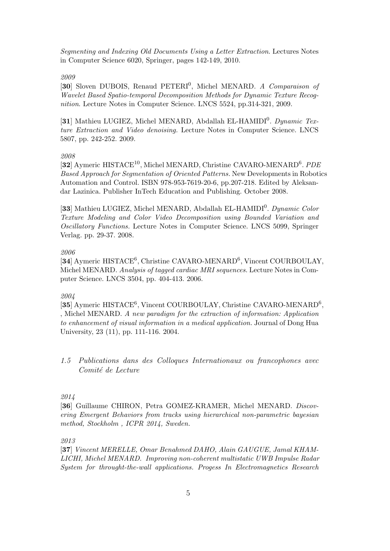Segmenting and Indexing Old Documents Using a Letter Extraction. Lectures Notes in Computer Science 6020, Springer, pages 142-149, 2010.

### 2009

[30] Sloven DUBOIS, Renaud PETERI<sup>0</sup>, Michel MENARD. A Comparaison of Wavelet Based Spatio-temporal Decomposition Methods for Dynamic Texture Recognition. Lecture Notes in Computer Science. LNCS 5524, pp.314-321, 2009.

[31] Mathieu LUGIEZ, Michel MENARD, Abdallah EL-HAMIDI<sup>0</sup>. Dynamic Texture Extraction and Video denoising. Lecture Notes in Computer Science. LNCS 5807, pp. 242-252. 2009.

### 2008

[32] Aymeric HISTACE<sup>10</sup>, Michel MENARD, Christine CAVARO-MENARD<sup>6</sup>. PDE Based Approach for Segmentation of Oriented Patterns. New Developments in Robotics Automation and Control. ISBN 978-953-7619-20-6, pp.207-218. Edited by Aleksandar Lazinica. Publisher InTech Education and Publishing. October 2008.

[33] Mathieu LUGIEZ, Michel MENARD, Abdallah EL-HAMIDI<sup>0</sup>. Dynamic Color Texture Modeling and Color Video Decomposition using Bounded Variation and Oscillatory Functions. Lecture Notes in Computer Science. LNCS 5099, Springer Verlag. pp. 29-37. 2008.

## 2006

[34] Aymeric HISTACE<sup>6</sup>, Christine CAVARO-MENARD<sup>6</sup>, Vincent COURBOULAY, Michel MENARD. Analysis of tagged cardiac MRI sequences. Lecture Notes in Computer Science. LNCS 3504, pp. 404-413. 2006.

## 2004

[35] Aymeric HISTACE<sup>6</sup>, Vincent COURBOULAY, Christine CAVARO-MENARD<sup>6</sup>, , Michel MENARD. A new paradigm for the extraction of information: Application to enhancement of visual information in a medical application. Journal of Dong Hua University, 23 (11), pp. 111-116. 2004.

1.5 Publications dans des Colloques Internationaux ou francophones avec Comité de Lecture

## 2014

[36] Guillaume CHIRON, Petra GOMEZ-KRAMER, Michel MENARD. Discovering Emergent Behaviors from tracks using hierarchical non-parametric bayesian method, Stockholm , ICPR 2014, Sweden.

2013

[37] Vincent MERELLE, Omar Benahmed DAHO, Alain GAUGUE, Jamal KHAM-LICHI, Michel MENARD. Improving non-coherent multistatic UWB Impulse Radar System for throught-the-wall applications. Progess In Electromagnetics Research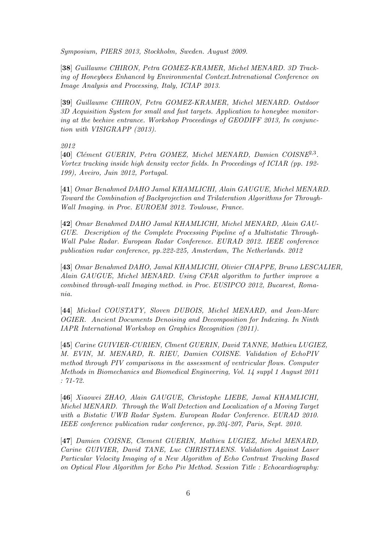Symposium, PIERS 2013, Stockholm, Sweden. August 2009.

[38] Guillaume CHIRON, Petra GOMEZ-KRAMER, Michel MENARD. 3D Tracking of Honeybees Enhanced by Environmental Context.Intrenational Conference on Image Analysis and Processing, Italy, ICIAP 2013.

[39] Guillaume CHIRON, Petra GOMEZ-KRAMER, Michel MENARD. Outdoor 3D Acquisition System for small and fast targets. Application to honeybee monitoring at the beehive entrance. Workshop Proceedings of GEODIFF 2013, In conjunction with VISIGRAPP (2013).

2012

[40] Clément GUERIN, Petra GOMEZ, Michel MENARD, Damien COISNE<sup>2,3</sup>. Vortex tracking inside high density vector fields. In Proceedings of ICIAR (pp. 192- 199), Aveiro, Juin 2012, Portugal.

[41] Omar Benahmed DAHO Jamal KHAMLICHI, Alain GAUGUE, Michel MENARD. Toward the Combination of Backprojection and Trilateration Algorithms for Through-Wall Imaging. in Proc. EUROEM 2012. Toulouse, France.

[42] Omar Benahmed DAHO Jamal KHAMLICHI, Michel MENARD, Alain GAU-GUE. Description of the Complete Processing Pipeline of a Multistatic Through-Wall Pulse Radar. European Radar Conference. EURAD 2012. IEEE conference publication radar conference, pp.222-225, Amsterdam, The Netherlands. 2012

[43] Omar Benahmed DAHO, Jamal KHAMLICHI, Olivier CHAPPE, Bruno LESCALIER, Alain GAUGUE, Michel MENARD. Using CFAR algorithm to further improve a combined through-wall Imaging method. in Proc. EUSIPCO 2012, Bucarest, Romania.

[44] Mickael COUSTATY, Sloven DUBOIS, Michel MENARD, and Jean-Marc OGIER. Ancient Documents Denoising and Decomposition for Indexing. In Ninth IAPR International Workshop on Graphics Recognition (2011).

[45] Carine GUIVIER-CURIEN, Clment GUERIN, David TANNE, Mathieu LUGIEZ, M. EVIN, M. MENARD, R. RIEU, Damien COISNE. Validation of EchoPIV method through PIV comparisons in the assessment of ventricular flows. Computer Methods in Biomechanics and Biomedical Engineering, Vol. 14 suppl 1 August 2011 : 71-72.

[46] Xiaowei ZHAO, Alain GAUGUE, Christophe LIEBE, Jamal KHAMLICHI, Michel MENARD. Through the Wall Detection and Localization of a Moving Target with a Bistatic UWB Radar System. European Radar Conference. EURAD 2010. IEEE conference publication radar conference, pp.204-207, Paris, Sept. 2010.

[47] Damien COISNE, Clement GUERIN, Mathieu LUGIEZ, Michel MENARD, Carine GUIVIER, David TANE, Luc CHRISTIAENS. Validation Against Laser Particular Velocity Imaging of a New Algorithm of Echo Contrast Tracking Based on Optical Flow Algorithm for Echo Piv Method. Session Title : Echocardiography: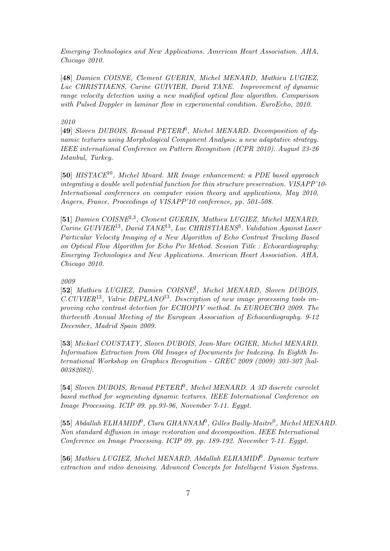Emerging Technologies and New Applications. American Heart Association. AHA, Chicago 2010.

[48] Damien COISNE, Clement GUERIN, Michel MENARD, Mathieu LUGIEZ, Luc CHRISTIAENS, Carine GUIVIER, David TANE. Improvement of dynamic range velocity detection using a new modified optical flow algorithm. Comparison with Pulsed Doppler in laminar flow in experimental condition. EuroEcho, 2010.

### 2010

[49] Sloven DUBOIS, Renaud PETERI<sup>0</sup>, Michel MENARD. Decomposition of dynamic textures using Morphological Component Analysis: a new adaptative strategy. IEEE international Conference on Pattern Recognition (ICPR 2010). August 23-26 Istanbul, Turkey.

[50]  $HISTACE^{10}$ , Michel Mnard. MR Image enhancement: a PDE based approach integrating a double well potential function for thin structure preservation. VISAPP'10- International conferences on computer vision theory and applications, May 2010, Angers, France. Proceedings of VISAPP'10 conference, pp. 501-508.

[51] Damien COISNE<sup>2,3</sup>, Clement GUERIN, Mathieu LUGIEZ, Michel MENARD, Carine GUIVIER<sup>13</sup>, David TANE<sup>13</sup>, Luc CHRISTIAENS<sup>3</sup>. Validation Against Laser Particular Velocity Imaging of a New Algorithm of Echo Contrast Tracking Based on Optical Flow Algorithm for Echo Piv Method. Session Title : Echocardiography: Emerging Technologies and New Applications. American Heart Association. AHA, Chicago 2010.

## 2009

[52] Mathieu LUGIEZ, Damien COISNE<sup>2</sup>, Michel MENARD, Sloven DUBOIS,  $C.CUVIER<sup>13</sup>$ . Valrie DEPLANO<sup>13</sup>. Description of new image processing tools improving echo contrast detection for ECHOPIV method. In EUROECHO 2009. The thirteenth Annual Meeting of the European Association of Echocardiography. 9-12 December, Madrid Spain 2009.

[53] Mickael COUSTATY, Sloven DUBOIS, Jean-Marc OGIER, Michel MENARD. Information Extraction from Old Images of Documents for Indexing. In Eighth International Workshop on Graphics Recognition - GREC 2009 (2009) 303-307 [hal-00382082].

[54] Sloven DUBOIS, Renaud PETERI<sup>0</sup>, Michel MENARD. A 3D discrete curvelet based method for segmenting dynamic textures. IEEE International Conference on Image Processing. ICIP 09. pp.93-96, November 7-11. Egypt.

[55] Abdallah ELHAMIDI<sup>0</sup>, Clara GHANNAM<sup>0</sup>, Gilles Bailly-Maitre<sup>0</sup>, Michel MENARD. Non standard diffusion in image restoration and decomposition. IEEE International Conference on Image Processing. ICIP 09. pp. 189-192. November 7-11. Egypt.

[56] Mathieu LUGIEZ, Michel MENARD, Abdallah ELHAMIDI<sup>0</sup>. Dynamic texture extraction and video denoising. Advanced Concepts for Intelligent Vision Systems.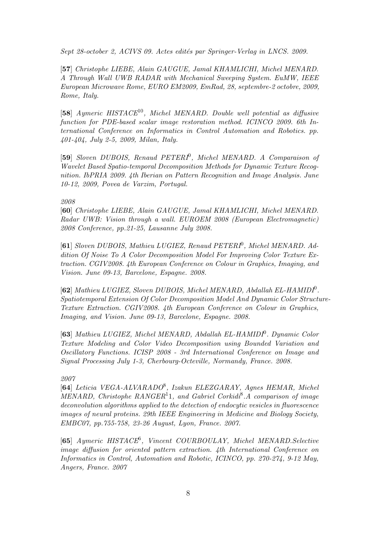Sept 28-october 2, ACIVS 09. Actes edités par Springer-Verlag in LNCS. 2009.

[57] Christophe LIEBE, Alain GAUGUE, Jamal KHAMLICHI, Michel MENARD. A Through Wall UWB RADAR with Mechanical Sweeping System. EuMW, IEEE European Microwave Rome, EURO EM2009, EmRad, 28, septembre-2 octobre, 2009, Rome, Italy.

[58] Aymeric HISTACE10, Michel MENARD. Double well potential as diffusive function for PDE-based scalar image restoration method. ICINCO 2009. 6th International Conference on Informatics in Control Automation and Robotics. pp. 401-404, July 2-5, 2009, Milan, Italy.

[59] Sloven DUBOIS, Renaud PETERI<sup>0</sup>, Michel MENARD. A Comparaison of Wavelet Based Spatio-temporal Decomposition Methods for Dynamic Texture Recognition. IbPRIA 2009. 4th Iberian on Pattern Recognition and Image Analysis. June 10-12, 2009, Povea de Varzim, Portugal.

#### 2008

[60] Christophe LIEBE, Alain GAUGUE, Jamal KHAMLICHI, Michel MENARD. Radar UWB: Vision through a wall. EUROEM 2008 (European Electromagnetic) 2008 Conference, pp.21-25, Lausanne July 2008.

[61] Sloven DUBOIS, Mathieu LUGIEZ, Renaud PETERI<sup>0</sup>, Michel MENARD. Addition Of Noise To A Color Decomposition Model For Improving Color Texture Extraction. CGIV2008. 4th European Conference on Colour in Graphics, Imaging, and Vision. June 09-13, Barcelone, Espagne. 2008.

[62] Mathieu LUGIEZ, Sloven DUBOIS, Michel MENARD, Abdallah EL-HAMIDI<sup>0</sup>. Spatiotemporal Extension Of Color Decomposition Model And Dynamic Color Structure-Texture Extraction. CGIV2008. 4th European Conference on Colour in Graphics, Imaging, and Vision. June 09-13, Barcelone, Espagne. 2008.

[63] Mathieu LUGIEZ, Michel MENARD, Abdallah EL-HAMIDI<sup>0</sup>. Dynamic Color Texture Modeling and Color Video Decomposition using Bounded Variation and Oscillatory Functions. ICISP 2008 - 3rd International Conference on Image and Signal Processing July 1-3, Cherbourg-Octeville, Normandy, France. 2008.

#### 2007

[64] Leticia VEGA-ALVARADO<sup>8</sup>, Izakun ELEZGARAY, Agnes HEMAR, Michel MENARD, Christophe RANGER<sup>1</sup>1, and Gabriel Corkidi<sup>8</sup>.A comparison of image deconvolution algorithms applied to the detection of endocytic vesicles in fluorescence images of neural proteins. 29th IEEE Engineering in Medicine and Biology Society, EMBC07, pp.755-758, 23-26 August, Lyon, France. 2007.

[65] Aymeric HISTACE<sup>6</sup>, Vincent COURBOULAY, Michel MENARD. Selective image diffusion for oriented pattern extraction. 4th International Conference on Informatics in Control, Automation and Robotic, ICINCO, pp. 270-274, 9-12 May, Angers, France. 2007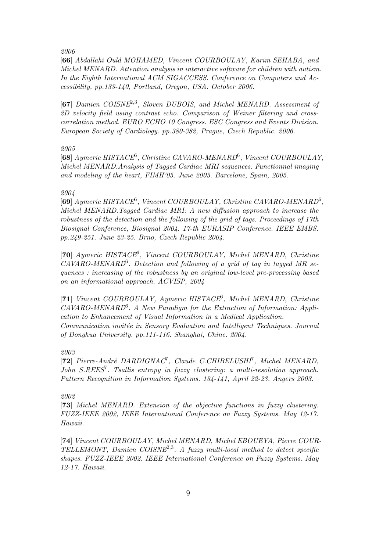2006

[66] Abdallahi Ould MOHAMED, Vincent COURBOULAY, Karim SEHABA, and Michel MENARD. Attention analysis in interactive software for children with autism. In the Eighth International ACM SIGACCESS. Conference on Computers and Accessibility, pp.133-140, Portland, Oregon, USA. October 2006.

[67] Damien COISNE<sup>2,3</sup>, Sloven DUBOIS, and Michel MENARD. Assessment of 2D velocity field using contrast echo. Comparison of Weiner filtering and crosscorrelation method. EURO ECHO 10 Congress. ESC Congress and Events Division. European Society of Cardiology. pp.380-382, Prague, Czech Republic. 2006.

## 2005

[68] Aymeric HISTACE<sup>6</sup>, Christine CAVARO-MENARD<sup>6</sup>, Vincent COURBOULAY, Michel MENARD.Analysis of Tagged Cardiac MRI sequences. Functionnal imaging and modeling of the heart, FIMH'05. June 2005. Barcelone, Spain, 2005.

## 2004

[69] Aymeric HISTACE<sup>6</sup>, Vincent COURBOULAY, Christine CAVARO-MENARD<sup>6</sup>, Michel MENARD.Tagged Cardiac MRI: A new diffusion approach to increase the robustness of the detection and the following of the grid of tags. Proceedings of 17th Biosignal Conference, Biosignal 2004. 17-th EURASIP Conference. IEEE EMBS. pp.249-251. June 23-25. Brno, Czech Republic 2004.

[70] Aymeric HISTACE<sup>6</sup>, Vincent COURBOULAY, Michel MENARD, Christine  $CAVARO-MENARD<sup>6</sup>$ . Detection and following of a grid of tag in tagged MR sequences : increasing of the robustness by an original low-level pre-processing based on an informational approach. ACVISP, 2004

[71] Vincent COURBOULAY, Aymeric HISTACE<sup>6</sup>, Michel MENARD, Christine  $CAVARO-MENARD<sup>6</sup>$ . A New Paradigm for the Extraction of Information: Application to Enhancement of Visual Information in a Medical Application. Communication invitée in Sensory Evaluation and Intelligent Techniques. Journal of Donghua University. pp.111-116. Shanghai, Chine. 2004.

# 2003

[72] Pierre-André DARDIGNAC<sup>7</sup>, Claude C.CHIBELUSHI<sup>7</sup>, Michel MENARD, John  $S. REES<sup>7</sup>$ . Tsallis entropy in fuzzy clustering: a multi-resolution approach. Pattern Recognition in Information Systems. 134-141, April 22-23. Angers 2003.

## 2002

[73] Michel MENARD. Extension of the objective functions in fuzzy clustering. FUZZ-IEEE 2002, IEEE International Conference on Fuzzy Systems. May 12-17. Hawaii.

[74] Vincent COURBOULAY, Michel MENARD, Michel EBOUEYA, Pierre COUR-TELLEMONT, Damien COISNE<sup>2,3</sup>. A fuzzy multi-local method to detect specific shapes. FUZZ-IEEE 2002. IEEE International Conference on Fuzzy Systems. May 12-17. Hawaii.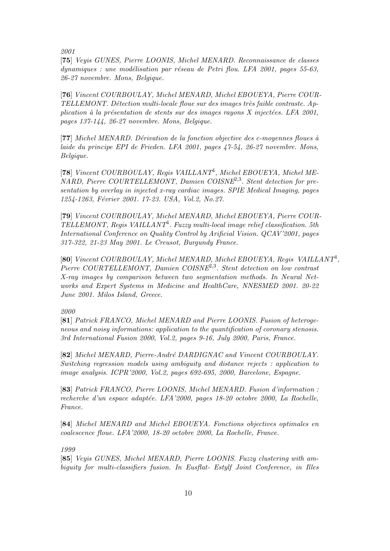2001

[75] Veyis GUNES, Pierre LOONIS, Michel MENARD. Reconnaissance de classes dynamiques : une modélisation par réseau de Petri flou. LFA 2001, pages 55-63, 26-27 novembre. Mons, Belgique.

[76] Vincent COURBOULAY, Michel MENARD, Michel EBOUEYA, Pierre COUR- $TELLEMONT. Délection multi-locale flow are the images is a failure contract. Ap$ plication à la présentation de stents sur des images rayons  $X$  injectées. LFA 2001, pages 137-144, 26-27 novembre. Mons, Belgique.

 $[77]$  Michel MENARD. Dérivation de la fonction objective des c-moyennes floues à laide du principe EPI de Frieden. LFA 2001, pages 47-54, 26-27 novembre. Mons, Belgique.

[78] Vincent COURBOULAY, Regis VAILLANT<sup>4</sup>, Michel EBOUEYA, Michel ME-NARD, Pierre COURTELLEMONT, Damien COISNE2,<sup>3</sup> . Stent detection for presentation by overlay in injected x-ray cardiac images. SPIE Medical Imaging, pages 1254-1263, Février 2001. 17-23. USA, Vol.2, No.27.

[79] Vincent COURBOULAY, Michel MENARD, Michel EBOUEYA, Pierre COUR-TELLEMONT, Regis VAILLANT<sup>4</sup>. Fuzzy multi-local image relief classification. 5th International Conference on Quality Control by Arificial Vision. QCAV'2001, pages 317-322, 21-23 May 2001. Le Creusot, Burgundy France.

[80] Vincent COURBOULAY, Michel MENARD, Michel EBOUEYA, Regis VAILLANT<sup>4</sup>, Pierre COURTELLEMONT, Damien COISNE<sup>2,3</sup>. Stent detection on low contrast X-ray images by comparison between two segmentation methods. In Neural Networks and Expert Systems in Medicine and HealthCare, NNESMED 2001. 20-22 June 2001. Milos Island, Greece.

## 2000

[81] Patrick FRANCO, Michel MENARD and Pierre LOONIS. Fusion of heterogeneous and noisy informations: application to the quantification of coronary stenosis. 3rd International Fusion 2000, Vol.2, pages 9-16, July 2000, Paris, France.

[82] Michel MENARD, Pierre-André DARDIGNAC and Vincent COURBOULAY. Switching regression models using ambiguity and distance rejects : application to image analysis. ICPR'2000, Vol.2, pages 692-695, 2000, Barcelone, Espagne.

[83] Patrick FRANCO, Pierre LOONIS, Michel MENARD. Fusion d'information : recherche d'un espace adaptée. LFA'2000, pages 18-20 octobre 2000, La Rochelle, France.

[84] Michel MENARD and Michel EBOUEYA. Fonctions objectives optimales en coalescence floue. LFA'2000, 18-20 octobre 2000, La Rochelle, France.

#### 1999

[85] Veyis GUNES, Michel MENARD, Pierre LOONIS. Fuzzy clustering with ambiguity for multi-classifiers fusion. In Eusflat- Estylf Joint Conference, in Illes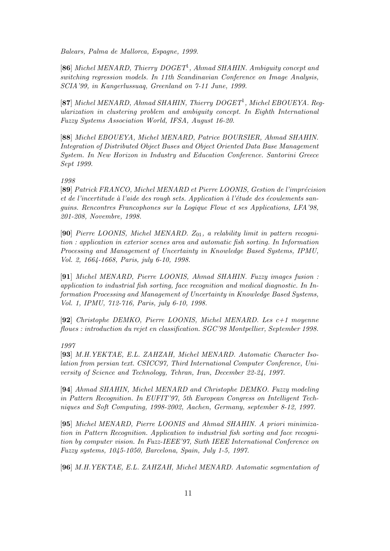Balears, Palma de Mallorca, Espagne, 1999.

[86] Michel MENARD, Thierry DOGET<sup>1</sup>, Ahmad SHAHIN. Ambiguity concept and switching regression models. In 11th Scandinavian Conference on Image Analysis, SCIA'99, in Kangerlussuaq, Greenland on 7-11 June, 1999.

[87] Michel MENARD, Ahmad SHAHIN, Thierry DOGET<sup>1</sup>, Michel EBOUEYA. Regularization in clustering problem and ambiguity concept. In Eighth International Fuzzy Systems Association World, IFSA, August 16-20.

[88] Michel EBOUEYA, Michel MENARD, Patrice BOURSIER, Ahmad SHAHIN. Integration of Distributed Object Buses and Object Oriented Data Base Management System. In New Horizon in Industry and Education Conference. Santorini Greece Sept 1999.

### 1998

[89] Patrick FRANCO, Michel MENARD et Pierre LOONIS, Gestion de l'imprécision et de l'incertitude à l'aide des rough sets. Application à l'étude des écoulements sanguins. Rencontres Francophones sur la Logique Floue et ses Applications, LFA'98, 201-208, Novembre, 1998.

[90] Pierre LOONIS, Michel MENARD.  $Z_{01}$ , a relability limit in pattern recognition : application in exterior scenes area and automatic fish sorting. In Information Processing and Management of Uncertainty in Knowledge Based Systems, IPMU, Vol. 2, 1664-1668, Paris, july 6-10, 1998.

[91] Michel MENARD, Pierre LOONIS, Ahmad SHAHIN. Fuzzy images fusion : application to industrial fish sorting, face recognition and medical diagnostic. In Information Processing and Management of Uncertainty in Knowledge Based Systems, Vol. 1, IPMU, 712-716, Paris, july 6-10, 1998.

[92] Christophe DEMKO, Pierre LOONIS, Michel MENARD. Les c+1 moyenne floues : introduction du rejet en classification. SGC'98 Montpellier, September 1998.

### 1997

[93] M.H.YEKTAE, E.L. ZAHZAH, Michel MENARD. Automatic Character Isolation from persian text. CSICC97, Third International Computer Conference, University of Science and Technology, Tehran, Iran, December 22-24, 1997.

[94] Ahmad SHAHIN, Michel MENARD and Christophe DEMKO. Fuzzy modeling in Pattern Recognition. In EUFIT'97, 5th European Congress on Intelligent Techniques and Soft Computing, 1998-2002, Aachen, Germany, september 8-12, 1997.

[95] Michel MENARD, Pierre LOONIS and Ahmad SHAHIN. A priori minimization in Pattern Recognition. Application to industrial fish sorting and face recognition by computer vision. In Fuzz-IEEE'97, Sixth IEEE International Conference on Fuzzy systems, 1045-1050, Barcelona, Spain, July 1-5, 1997.

[96] M.H.YEKTAE, E.L. ZAHZAH, Michel MENARD. Automatic segmentation of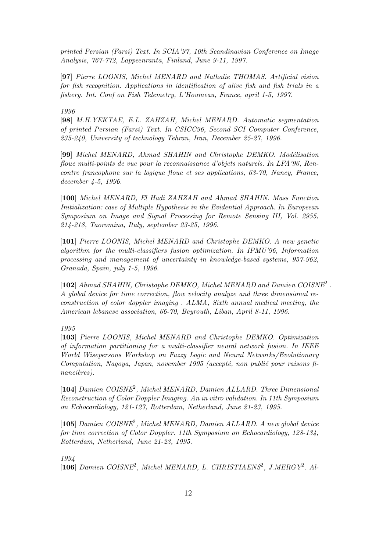printed Persian (Farsi) Text. In SCIA'97, 10th Scandinavian Conference on Image Analysis, 767-772, Lappeenranta, Finland, June 9-11, 1997.

[97] Pierre LOONIS, Michel MENARD and Nathalie THOMAS. Artificial vision for fish recognition. Applications in identification of alive fish and fish trials in a fishery. Int. Conf on Fish Telemetry, L'Houmeau, France, april 1-5, 1997.

### 1996

[98] M.H.YEKTAE, E.L. ZAHZAH, Michel MENARD. Automatic segmentation of printed Persian (Farsi) Text. In CSICC96, Second SCI Computer Conference, 235-240, University of technology Tehran, Iran, December 25-27, 1996.

[99] Michel MENARD, Ahmad SHAHIN and Christophe DEMKO. Modélisation floue multi-points de vue pour la reconnaissance d'objets naturels. In LFA'96, Rencontre francophone sur la logique floue et ses applications, 63-70, Nancy, France, december 4-5, 1996.

[100] Michel MENARD, El Hadi ZAHZAH and Ahmad SHAHIN. Mass Function Initialization: case of Multiple Hypothesis in the Evidential Approach. In Europeean Symposium on Image and Signal Processing for Remote Sensing III, Vol. 2955, 214-218, Taoromina, Italy, september 23-25, 1996.

[101] Pierre LOONIS, Michel MENARD and Christophe DEMKO. A new genetic algorithm for the multi-classifiers fusion optimization. In IPMU'96, Information processing and management of uncertainty in knowledge-based systems, 957-962, Granada, Spain, july 1-5, 1996.

[102] Ahmad SHAHIN, Christophe DEMKO, Michel MENARD and Damien COISNE<sup>2</sup>. A global device for time correction, flow velocity analyze and three dimensional reconstruction of color doppler imaging . ALMA, Sixth annual medical meeting, the American lebanese association, 66-70, Beyrouth, Liban, April 8-11, 1996.

# 1995

[103] Pierre LOONIS, Michel MENARD and Christophe DEMKO. Optimization of information partitioning for a multi-classifier neural network fusion. In IEEE World Wisepersons Workshop on Fuzzy Logic and Neural Networks/Evolutionary Computation, Nagoya, Japan, november 1995 (accepté, non publié pour raisons financières).

[104] Damien COISNE<sup>2</sup>, Michel MENARD, Damien ALLARD. Three Dimensional Reconstruction of Color Doppler Imaging. An in vitro validation. In 11th Symposium on Echocardiology, 121-127, Rotterdam, Netherland, June 21-23, 1995.

[105] Damien COISNE<sup>2</sup>, Michel MENARD, Damien ALLARD. A new global device for time correction of Color Doppler. 11th Symposium on Echocardiology, 128-134, Rotterdam, Netherland, June 21-23, 1995.

1994

[106] Damien COISNE<sup>2</sup>, Michel MENARD, L. CHRISTIAENS<sup>2</sup>, J.MERGY<sup>2</sup>. Al-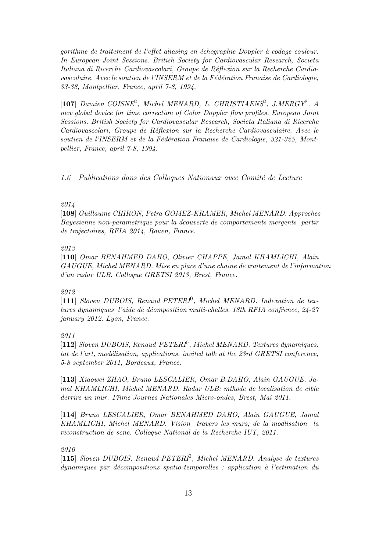gorithme de traitement de l'effet aliasing en échographie Doppler à codage couleur. In European Joint Sessions. British Society for Cardiovascular Research, Societa Italiana di Ricerche Cardiovascolari, Groupe de Réflexion sur la Recherche Cardiovasculaire. Avec le soutien de l'INSERM et de la Fédération Franaise de Cardiologie, 33-38, Montpellier, France, april 7-8, 1994.

[107] Damien COISNE<sup>2</sup>, Michel MENARD, L. CHRISTIAENS<sup>2</sup>, J.MERGY<sup>2</sup>. A new global device for time correction of Color Doppler flow profiles. European Joint Sessions. British Society for Cardiovascular Research, Societa Italiana di Ricerche Cardiovascolari, Groupe de Réflexion sur la Recherche Cardiovasculaire. Avec le soutien de l'INSERM et de la Fédération Franaise de Cardiologie, 321-325, Montpellier, France, april 7-8, 1994.

 $1.6$  Publications dans des Colloques Nationaux avec Comité de Lecture

## 2014

[108] Guillaume CHIRON, Petra GOMEZ-KRAMER, Michel MENARD. Approches Bayesienne non-parametrique pour la dcouverte de comportements mergents partir de trajectoires, RFIA 2014, Rouen, France.

## 2013

[110] Omar BENAHMED DAHO, Olivier CHAPPE, Jamal KHAMLICHI, Alain GAUGUE, Michel MENARD. Mise en place d'une chaine de traitement de l'information d'un radar ULB. Colloque GRETSI 2013, Brest, France.

#### 2012

[111] Sloven DUBOIS, Renaud PETERI<sup>0</sup>, Michel MENARD. Indexation de textures dynamiques l'aide de déomposition multi-chelles. 18th RFIA confrence,  $24-27$ january 2012. Lyon, France.

## 2011

[112] Sloven DUBOIS, Renaud PETERI<sup>0</sup>, Michel MENARD. Textures dynamiques: tat de l'art, modélisation, applications. invited talk at the  $23rd$  GRETSI conference, 5-8 september 2011, Bordeaux, France.

[113] Xiaowei ZHAO, Bruno LESCALIER, Omar B.DAHO, Alain GAUGUE, Jamal KHAMLICHI, Michel MENARD. Radar ULB: mthode de localisation de cible derrire un mur. 17ime Journes Nationales Micro-ondes, Brest, Mai 2011.

[114] Bruno LESCALIER, Omar BENAHMED DAHO, Alain GAUGUE, Jamal KHAMLICHI, Michel MENARD. Vision travers les murs; de la modlisation la reconstruction de scne. Colloque National de la Recherche IUT, 2011.

## 2010

[115] Sloven DUBOIS, Renaud PETERI<sup>0</sup>, Michel MENARD. Analyse de textures dynamiques par décompositions spatio-temporelles : application à l'estimation du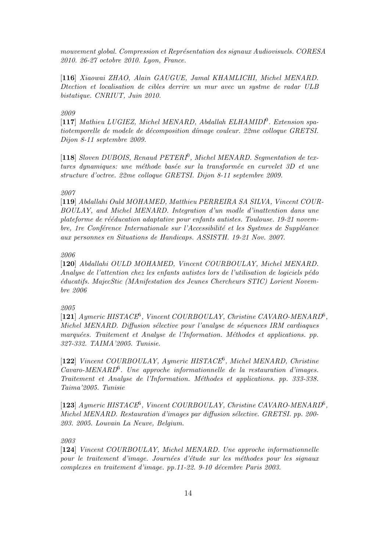mouvement global. Compression et Représentation des signaux Audiovisuels. CORESA 2010. 26-27 octobre 2010. Lyon, France.

[116] Xiaowai ZHAO, Alain GAUGUE, Jamal KHAMLICHI, Michel MENARD. Dtection et localisation de cibles derrire un mur avec un systme de radar ULB bistatique. CNRIUT, Juin 2010.

## 2009

[117] Mathieu LUGIEZ, Michel MENARD, Abdallah ELHAMIDI<sup>0</sup>. Extension spatiotemporelle de modele de décomposition d'mage couleur. 22me colloque GRETSI. Dijon 8-11 septembre 2009.

[118] Sloven DUBOIS, Renaud PETERI<sup>0</sup>, Michel MENARD. Segmentation de textures dynamiques: une méthode basée sur la transformée en curvelet 3D et une structure d'octree. 22me colloque GRETSI. Dijon 8-11 septembre 2009.

## 2007

[119] Abdallahi Ould MOHAMED, Matthieu PERREIRA SA SILVA, Vincent COUR-BOULAY, and Michel MENARD. Integration d'un modle d'inattention dans une plateforme de rééducation adaptative pour enfants autistes. Toulouse. 19-21 novembre, 1re Conférence Internationale sur l'Accessibilité et les Systmes de Suppléance aux personnes en Situations de Handicaps. ASSISTH. 19-21 Nov. 2007.

### 2006

[120] Abdallahi OULD MOHAMED, Vincent COURBOULAY, Michel MENARD. Analyse de l'attention chez les enfants autistes lors de l'utilisation de logiciels pédo ´educatifs. MajecStic (MAnifestation des Jeunes Chercheurs STIC) Lorient Novembre 2006

## 2005

[121] Aymeric HISTACE<sup>6</sup>, Vincent COURBOULAY, Christine CAVARO-MENARD<sup>6</sup>, Michel MENARD. Diffusion sélective pour l'analyse de séquences IRM cardiaques marquées. Traitement et Analyse de l'Information. Méthodes et applications. pp. 327-332. TAIMA'2005. Tunisie.

[122] Vincent COURBOULAY, Aymeric HISTACE<sup>6</sup>, Michel MENARD, Christine Cavaro-MENARD<sup>6</sup> . Une approche informationnelle de la restauration d'images. Traitement et Analyse de l'Information. Méthodes et applications. pp. 333-338. Taima'2005. Tunisie

[123] Aymeric HISTACE<sup>6</sup>, Vincent COURBOULAY, Christine CAVARO-MENARD<sup>6</sup>, Michel MENARD. Restauration d'images par diffusion sélective. GRETSI. pp. 200-203. 2005. Louvain La Neuve, Belgium.

2003

[124] Vincent COURBOULAY, Michel MENARD. Une approche informationnelle pour le traitement d'image. Journées d'étude sur les méthodes pour les signaux complexes en traitement d'image. pp.11-22. 9-10 décembre Paris 2003.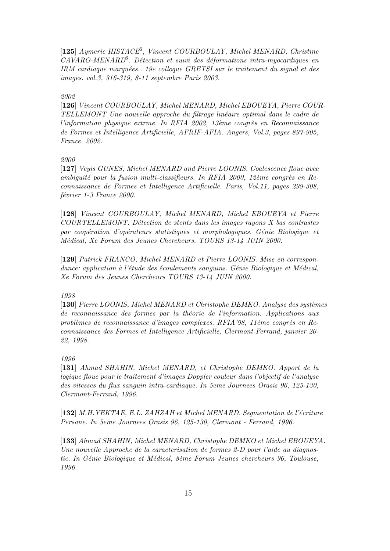[125] Aymeric HISTACE<sup>6</sup>, Vincent COURBOULAY, Michel MENARD, Christine  $CAVARO-MENARD<sup>6</sup>$ . Détection et suivi des déformations intra-myocardiques en IRM cardiaque marquées.. 19e colloque GRETSI sur le traitement du signal et des images. vol.3, 316-319, 8-11 septembre Paris 2003.

# 2002

[126] Vincent COURBOULAY, Michel MENARD, Michel EBOUEYA, Pierre COUR-TELLEMONT Une nouvelle approche du filtrage lin´eaire optimal dans le cadre de l'information physique extrme. In RFIA 2002, 13ème congrès en Reconnaissance de Formes et Intelligence Artificielle, AFRIF-AFIA. Angers, Vol.3, pages 897-905, France. 2002.

### 2000

[127] Veyis GUNES, Michel MENARD and Pierre LOONIS. Coalescence floue avec ambiquité pour la fusion multi-classifieurs. In RFIA 2000, 12ème congrès en Reconnaissance de Formes et Intelligence Artificielle. Paris, Vol.11, pages 299-308, février 1-3 France 2000.

[128] Vincent COURBOULAY, Michel MENARD, Michel EBOUEYA et Pierre  $COUNTELLEMONT.$  Détection de stents dans les images rayons  $X$  bas contrastes par coopération d'opérateurs statistiques et morphologiques. Génie Biologique et Médical, Xe Forum des Jeunes Chercheurs. TOURS 13-14 JUIN 2000.

[129] Patrick FRANCO, Michel MENARD et Pierre LOONIS. Mise en correspondance: application à l'étude des écoulements sanguins. Génie Biologique et Médical, Xe Forum des Jeunes Chercheurs TOURS 13-14 JUIN 2000.

### 1998

[130] Pierre LOONIS, Michel MENARD et Christophe DEMKO. Analyse des systèmes de reconnaissance des formes par la théorie de l'information. Applications aux problèmes de reconnaissance d'images complexes. RFIA'98, 11ème congrès en Reconnaissance des Formes et Intelligence Artificielle, Clermont-Ferrand, janvier 20- 22, 1998.

#### 1996

[131] Ahmad SHAHIN, Michel MENARD, et Christophe DEMKO. Apport de la logique floue pour le traitement d'images Doppler couleur dans l'objectif de l'analyse des vitesses du flux sanguin intra-cardiaque. In 5eme Journees Orasis 96, 125-130, Clermont-Ferrand, 1996.

 $[132]$  M.H.YEKTAE, E.L. ZAHZAH et Michel MENARD. Segmentation de l'écriture Persane. In 5eme Journees Orasis 96, 125-130, Clermont - Ferrand, 1996.

[133] Ahmad SHAHIN, Michel MENARD, Christophe DEMKO et Michel EBOUEYA. Une nouvelle Approche de la caracterisation de formes 2-D pour l'aide au diagnostic. In Génie Biologique et Médical, 8ème Forum Jeunes chercheurs 96, Toulouse, 1996.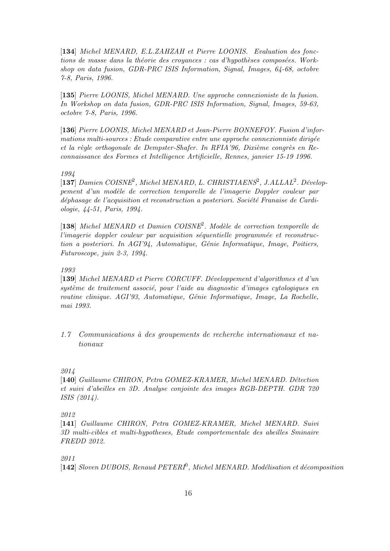[134] Michel MENARD, E.L.ZAHZAH et Pierre LOONIS. Evaluation des fonctions de masse dans la théorie des croyances : cas d'hypothèses composées. Workshop on data fusion, GDR-PRC ISIS Information, Signal, Images, 64-68, octobre 7-8, Paris, 1996.

[135] Pierre LOONIS, Michel MENARD. Une approche connexioniste de la fusion. In Workshop on data fusion, GDR-PRC ISIS Information, Signal, Images, 59-63, octobre 7-8, Paris, 1996.

[136] Pierre LOONIS, Michel MENARD et Jean-Pierre BONNEFOY. Fusion d'infor $mations$  multi-sources : Etude comparative entre une approche connexionniste dirigée et la règle orthogonale de Dempster-Shafer. In RFIA'96, Dixième congrès en Reconnaissance des Formes et Intelligence Artificielle, Rennes, janvier 15-19 1996.

## 1994

[137] Damien COISNE<sup>2</sup>, Michel MENARD, L. CHRISTIAENS<sup>2</sup>, J.ALLAL<sup>2</sup>. Développement d'un modèle de correction temporelle de l'imagerie Doppler couleur par déphasage de l'acquisition et reconstruction a posteriori. Société Franaise de Cardiologie, 44-51, Paris, 1994.

[138] Michel MENARD et Damien COISNE<sup>2</sup>. Modèle de correction temporelle de  $l'imagerie$  doppler couleur par acquisition séquentielle programmée et reconstruction a posteriori. In  $AGI'94$ , Automatique, Génie Informatique, Image, Poitiers, Futuroscope, juin 2-3, 1994.

#### 1993

[139] Michel MENARD et Pierre CORCUFF. D´eveloppement d'algorithmes et d'un  $syst\`eme de traitement associ\'e, pour l'aide au diagnostic d'images cytolo<sup>igques en</sup>$ </sup> routine clinique. AGI'93, Automatique, Génie Informatique, Image, La Rochelle, mai 1993.

 $1.7$  Communications à des groupements de recherche internationaux et nationaux

## 2014

[140] Guillaume CHIRON, Petra GOMEZ-KRAMER, Michel MENARD. Détection et suivi d'abeilles en 3D. Analyse conjointe des images RGB-DEPTH. GDR 720 ISIS (2014).

### 2012

[141] Guillaume CHIRON, Petra GOMEZ-KRAMER, Michel MENARD. Suivi 3D multi-cibles et multi-hypotheses, Etude comportementale des abeilles Sminaire FREDD 2012.

## 2011

[142] Sloven DUBOIS, Renaud PETERI<sup>0</sup>, Michel MENARD. Modélisation et décomposition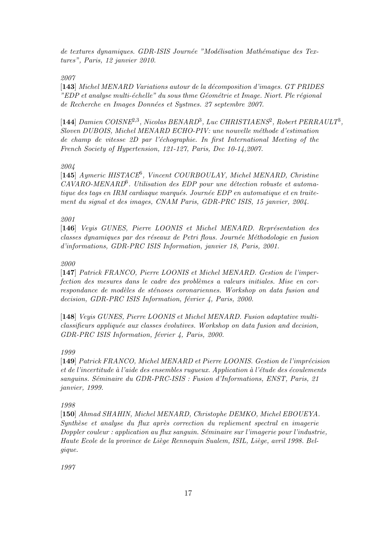de textures dynamiques. GDR-ISIS Journée "Modélisation Mathématique des Textures", Paris, 12 janvier 2010.

2007

[143] Michel MENARD Variations autour de la décomposition d'images. GT PRIDES " $EDP$  et analyse multi-échelle" du sous thme Géométrie et Image. Niort. Ple régional de Recherche en Images Données et Systmes. 27 septembre 2007.

[144] Damien COISNE<sup>2,3</sup>, Nicolas BENARD<sup>3</sup>, Luc CHRISTIAENS<sup>2</sup>, Robert PERRAULT<sup>3</sup>, Sloven DUBOIS, Michel MENARD ECHO-PIV: une nouvelle méthode d'estimation de champ de vitesse 2D par l'échographie. In first International Meeting of the French Society of Hypertension, 121-127, Paris, Dec 10-14,2007.

## 2004

[145] Aymeric HISTACE<sup>6</sup>, Vincent COURBOULAY, Michel MENARD, Christine  $CAVARO-MENARD<sup>6</sup>$ . Utilisation des EDP pour une détection robuste et automatique des tags en IRM cardiaque marqués. Journée EDP en automatique et en traitement du signal et des images, CNAM Paris, GDR-PRC ISIS, 15 janvier, 2004.

## 2001

[146] Veyis GUNES, Pierre LOONIS et Michel MENARD. Représentation des classes dynamiques par des réseaux de Petri flous. Journée Méthodologie en fusion d'informations, GDR-PRC ISIS Information, janvier 18, Paris, 2001.

## 2000

[147] Patrick FRANCO, Pierre LOONIS et Michel MENARD. Gestion de l'imperfection des mesures dans le cadre des problèmes a valeurs initiales. Mise en correspondance de modèles de sténoses coronariennes. Workshop on data fusion and decision, GDR-PRC ISIS Information, février 4, Paris,  $2000$ .

[148] Veyis GUNES, Pierre LOONIS et Michel MENARD. Fusion adaptative multiclassifieurs appliquée aux classes évolutives. Workshop on data fusion and decision,  $GDR-PRC$  ISIS Information, février 4, Paris, 2000.

# 1999

[149] Patrick FRANCO, Michel MENARD et Pierre LOONIS. Gestion de l'imprécision et de l'incertitude à l'aide des ensembles rugueux. Application à l'étude des écoulements sanguins. Séminaire du GDR-PRC-ISIS : Fusion d'Informations, ENST, Paris, 21 janvier, 1999.

## 1998

[150] Ahmad SHAHIN, Michel MENARD, Christophe DEMKO, Michel EBOUEYA. Synthèse et analyse du flux après correction du repliement spectral en imagerie Doppler couleur : application au flux sanguin. Séminaire sur l'imagerie pour l'industrie, Haute Ecole de la province de Liège Rennequin Sualem, ISIL, Liège, avril 1998. Belgique.

1997